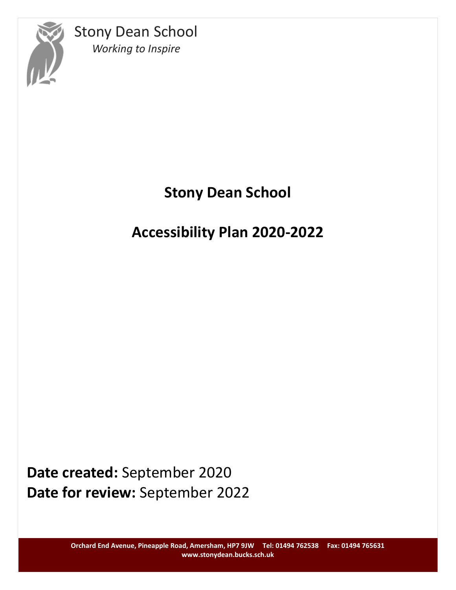

# **Stony Dean School**

## **Accessibility Plan 2020-2022**

**Date created:** September 2020 **Date for review:** September 2022

> **Orchard End Avenue, Pineapple Road, Amersham, HP7 9JW Tel: 01494 762538 Fax: 01494 765631 www.stonydean.bucks.sch.uk**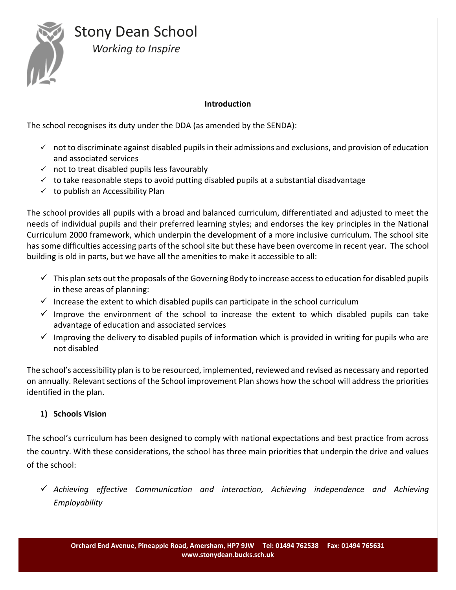

#### **Introduction**

The school recognises its duty under the DDA (as amended by the SENDA):

- $\checkmark$  not to discriminate against disabled pupils in their admissions and exclusions, and provision of education and associated services
- $\checkmark$  not to treat disabled pupils less favourably
- $\checkmark$  to take reasonable steps to avoid putting disabled pupils at a substantial disadvantage
- $\checkmark$  to publish an Accessibility Plan

The school provides all pupils with a broad and balanced curriculum, differentiated and adjusted to meet the needs of individual pupils and their preferred learning styles; and endorses the key principles in the National Curriculum 2000 framework, which underpin the development of a more inclusive curriculum. The school site has some difficulties accessing parts of the school site but these have been overcome in recent year. The school building is old in parts, but we have all the amenities to make it accessible to all:

- $\checkmark$  This plan sets out the proposals of the Governing Body to increase access to education for disabled pupils in these areas of planning:
- $\checkmark$  Increase the extent to which disabled pupils can participate in the school curriculum
- $\checkmark$  Improve the environment of the school to increase the extent to which disabled pupils can take advantage of education and associated services
- $\checkmark$  Improving the delivery to disabled pupils of information which is provided in writing for pupils who are not disabled

The school's accessibility plan is to be resourced, implemented, reviewed and revised as necessary and reported on annually. Relevant sections of the School improvement Plan shows how the school will address the priorities identified in the plan.

#### **1) Schools Vision**

The school's curriculum has been designed to comply with national expectations and best practice from across the country. With these considerations, the school has three main priorities that underpin the drive and values of the school:

 *Achieving effective Communication and interaction, Achieving independence and Achieving Employability*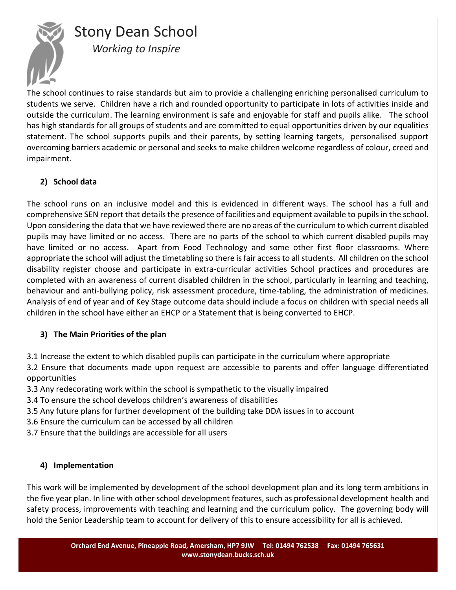

The school continues to raise standards but aim to provide a challenging enriching personalised curriculum to students we serve. Children have a rich and rounded opportunity to participate in lots of activities inside and outside the curriculum. The learning environment is safe and enjoyable for staff and pupils alike. The school has high standards for all groups of students and are committed to equal opportunities driven by our equalities statement. The school supports pupils and their parents, by setting learning targets, personalised support overcoming barriers academic or personal and seeks to make children welcome regardless of colour, creed and impairment.

#### **2) School data**

The school runs on an inclusive model and this is evidenced in different ways. The school has a full and comprehensive SEN report that details the presence of facilities and equipment available to pupils in the school. Upon considering the data that we have reviewed there are no areas of the curriculum to which current disabled pupils may have limited or no access. There are no parts of the school to which current disabled pupils may have limited or no access. Apart from Food Technology and some other first floor classrooms. Where appropriate the school will adjust the timetabling so there is fair access to all students. All children on the school disability register choose and participate in extra-curricular activities School practices and procedures are completed with an awareness of current disabled children in the school, particularly in learning and teaching, behaviour and anti-bullying policy, risk assessment procedure, time-tabling, the administration of medicines. Analysis of end of year and of Key Stage outcome data should include a focus on children with special needs all children in the school have either an EHCP or a Statement that is being converted to EHCP.

#### **3) The Main Priorities of the plan**

3.1 Increase the extent to which disabled pupils can participate in the curriculum where appropriate

3.2 Ensure that documents made upon request are accessible to parents and offer language differentiated opportunities

3.3 Any redecorating work within the school is sympathetic to the visually impaired

- 3.4 To ensure the school develops children's awareness of disabilities
- 3.5 Any future plans for further development of the building take DDA issues in to account
- 3.6 Ensure the curriculum can be accessed by all children
- 3.7 Ensure that the buildings are accessible for all users

#### **4) Implementation**

This work will be implemented by development of the school development plan and its long term ambitions in the five year plan. In line with other school development features, such as professional development health and safety process, improvements with teaching and learning and the curriculum policy. The governing body will hold the Senior Leadership team to account for delivery of this to ensure accessibility for all is achieved.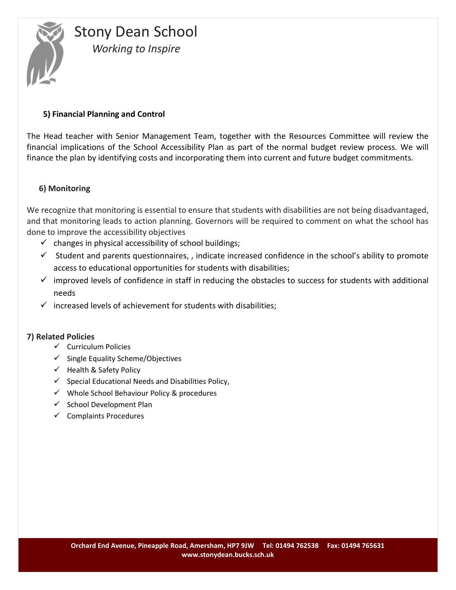

#### **5) Financial Planning and Control**

The Head teacher with Senior Management Team, together with the Resources Committee will review the financial implications of the School Accessibility Plan as part of the normal budget review process. We will finance the plan by identifying costs and incorporating them into current and future budget commitments.

#### **6) Monitoring**

We recognize that monitoring is essential to ensure that students with disabilities are not being disadvantaged, and that monitoring leads to action planning. Governors will be required to comment on what the school has done to improve the accessibility objectives

- $\checkmark$  changes in physical accessibility of school buildings;
- $\checkmark$  Student and parents questionnaires, , indicate increased confidence in the school's ability to promote access to educational opportunities for students with disabilities;
- $\checkmark$  improved levels of confidence in staff in reducing the obstacles to success for students with additional needs
- $\checkmark$  increased levels of achievement for students with disabilities;

#### **7) Related Policies**

- $\checkmark$  Curriculum Policies
- $\checkmark$  Single Equality Scheme/Objectives
- $\checkmark$  Health & Safety Policy
- $\checkmark$  Special Educational Needs and Disabilities Policy,
- $\checkmark$  Whole School Behaviour Policy & procedures
- $\checkmark$  School Development Plan
- $\checkmark$  Complaints Procedures